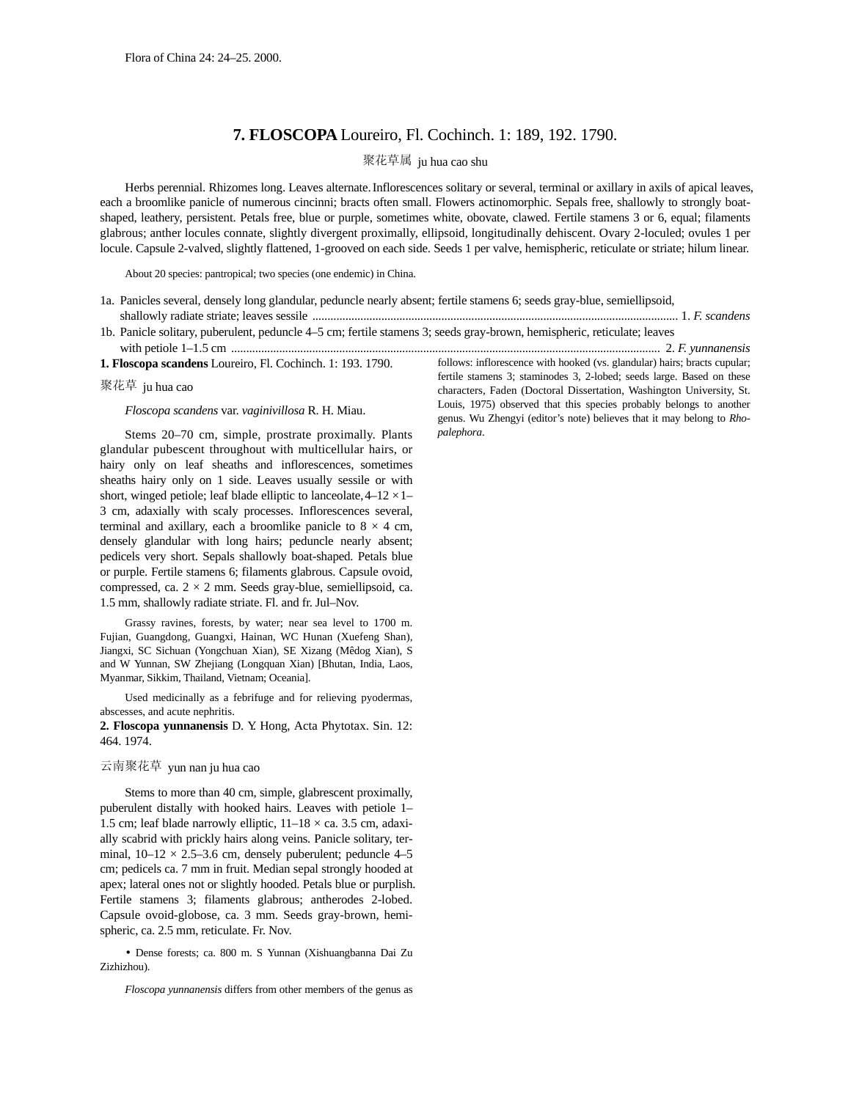## **7. FLOSCOPA** Loureiro, Fl. Cochinch. 1: 189, 192. 1790.

## 聚花草属 ju hua cao shu

Herbs perennial. Rhizomes long. Leaves alternate.Inflorescences solitary or several, terminal or axillary in axils of apical leaves, each a broomlike panicle of numerous cincinni; bracts often small. Flowers actinomorphic. Sepals free, shallowly to strongly boatshaped, leathery, persistent. Petals free, blue or purple, sometimes white, obovate, clawed. Fertile stamens 3 or 6, equal; filaments glabrous; anther locules connate, slightly divergent proximally, ellipsoid, longitudinally dehiscent. Ovary 2-loculed; ovules 1 per locule. Capsule 2-valved, slightly flattened, 1-grooved on each side. Seeds 1 per valve, hemispheric, reticulate or striate; hilum linear.

About 20 species: pantropical; two species (one endemic) in China.

- 1a. Panicles several, densely long glandular, peduncle nearly absent; fertile stamens 6; seeds gray-blue, semiellipsoid, shallowly radiate striate; leaves sessile .......................................................................................................................... 1. *F. scandens*
- 1b. Panicle solitary, puberulent, peduncle 4–5 cm; fertile stamens 3; seeds gray-brown, hemispheric, reticulate; leaves with petiole 1–1.5 cm ............................................................................................................................................... 2. *F. yunnanensis*

**1. Floscopa scandens** Loureiro, Fl. Cochinch. 1: 193. 1790.

聚花草 ju hua cao

*Floscopa scandens* var. *vaginivillosa* R. H. Miau.

Stems 20–70 cm, simple, prostrate proximally. Plants glandular pubescent throughout with multicellular hairs, or hairy only on leaf sheaths and inflorescences, sometimes sheaths hairy only on 1 side. Leaves usually sessile or with short, winged petiole; leaf blade elliptic to lanceolate,  $4-12 \times 1-$ 3 cm, adaxially with scaly processes. Inflorescences several, terminal and axillary, each a broomlike panicle to  $8 \times 4$  cm, densely glandular with long hairs; peduncle nearly absent; pedicels very short. Sepals shallowly boat-shaped. Petals blue or purple. Fertile stamens 6; filaments glabrous. Capsule ovoid, compressed, ca.  $2 \times 2$  mm. Seeds gray-blue, semiellipsoid, ca. 1.5 mm, shallowly radiate striate. Fl. and fr. Jul–Nov.

Grassy ravines, forests, by water; near sea level to 1700 m. Fujian, Guangdong, Guangxi, Hainan, WC Hunan (Xuefeng Shan), Jiangxi, SC Sichuan (Yongchuan Xian), SE Xizang (Mêdog Xian), S and W Yunnan, SW Zhejiang (Longquan Xian) [Bhutan, India, Laos, Myanmar, Sikkim, Thailand, Vietnam; Oceania].

Used medicinally as a febrifuge and for relieving pyodermas, abscesses, and acute nephritis.

**2. Floscopa yunnanensis** D. Y. Hong, Acta Phytotax. Sin. 12: 464. 1974.

## 云南聚花草 yun nan ju hua cao

Stems to more than 40 cm, simple, glabrescent proximally, puberulent distally with hooked hairs. Leaves with petiole 1– 1.5 cm; leaf blade narrowly elliptic,  $11-18 \times$  ca. 3.5 cm, adaxially scabrid with prickly hairs along veins. Panicle solitary, terminal,  $10-12 \times 2.5-3.6$  cm, densely puberulent; peduncle 4-5 cm; pedicels ca. 7 mm in fruit. Median sepal strongly hooded at apex; lateral ones not or slightly hooded. Petals blue or purplish. Fertile stamens 3; filaments glabrous; antherodes 2-lobed. Capsule ovoid-globose, ca. 3 mm. Seeds gray-brown, hemispheric, ca. 2.5 mm, reticulate. Fr. Nov.

• Dense forests; ca. 800 m. S Yunnan (Xishuangbanna Dai Zu Zizhizhou).

*Floscopa yunnanensis* differs from other members of the genus as

follows: inflorescence with hooked (vs. glandular) hairs; bracts cupular; fertile stamens 3; staminodes 3, 2-lobed; seeds large. Based on these characters, Faden (Doctoral Dissertation, Washington University, St. Louis, 1975) observed that this species probably belongs to another genus. Wu Zhengyi (editor's note) believes that it may belong to *Rhopalephora*.